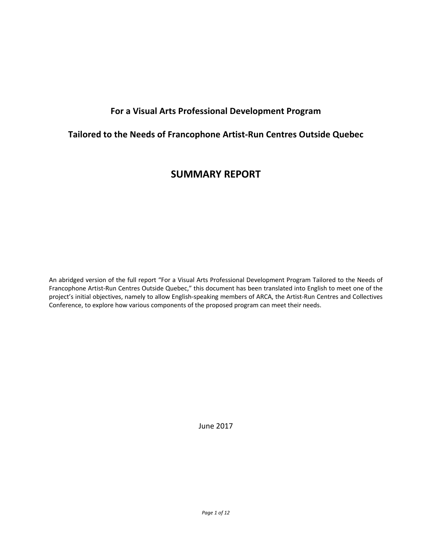# **For a Visual Arts Professional Development Program**

# **Tailored to the Needs of Francophone Artist-Run Centres Outside Quebec**

# **SUMMARY REPORT**

An abridged version of the full report "For a Visual Arts Professional Development Program Tailored to the Needs of Francophone Artist-Run Centres Outside Quebec," this document has been translated into English to meet one of the project's initial objectives, namely to allow English-speaking members of ARCA, the Artist-Run Centres and Collectives Conference, to explore how various components of the proposed program can meet their needs.

June 2017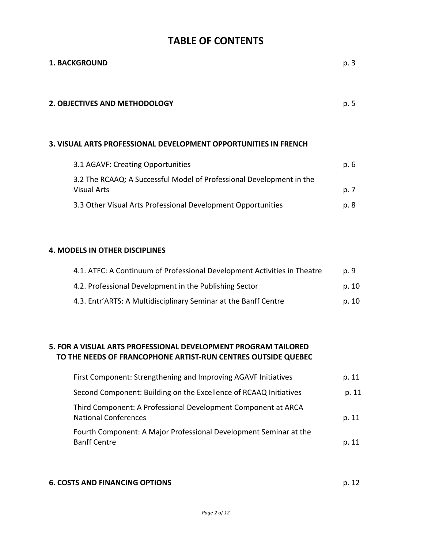# **TABLE OF CONTENTS**

| <b>1. BACKGROUND</b>                                                                       | p. 3  |
|--------------------------------------------------------------------------------------------|-------|
| <b>2. OBJECTIVES AND METHODOLOGY</b>                                                       | p. 5  |
| 3. VISUAL ARTS PROFESSIONAL DEVELOPMENT OPPORTUNITIES IN FRENCH                            |       |
| 3.1 AGAVF: Creating Opportunities                                                          | p. 6  |
| 3.2 The RCAAQ: A Successful Model of Professional Development in the<br><b>Visual Arts</b> | p. 7  |
| 3.3 Other Visual Arts Professional Development Opportunities                               | p. 8  |
|                                                                                            |       |
| 4. MODELS IN OTHER DISCIPLINES                                                             |       |
| 4.1. ATFC: A Continuum of Professional Development Activities in Theatre                   | p. 9  |
| 4.2. Professional Development in the Publishing Sector                                     | p. 10 |
| 4.3. Entr'ARTS: A Multidisciplinary Seminar at the Banff Centre                            | p. 10 |
|                                                                                            |       |

# **5. FOR A VISUAL ARTS PROFESSIONAL DEVELOPMENT PROGRAM TAILORED TO THE NEEDS OF FRANCOPHONE ARTIST-RUN CENTRES OUTSIDE QUEBEC**

| First Component: Strengthening and Improving AGAVF Initiatives                               | p. 11 |
|----------------------------------------------------------------------------------------------|-------|
| Second Component: Building on the Excellence of RCAAQ Initiatives                            | p. 11 |
| Third Component: A Professional Development Component at ARCA<br><b>National Conferences</b> | p. 11 |
| Fourth Component: A Major Professional Development Seminar at the<br><b>Banff Centre</b>     | p. 11 |

#### **6. COSTS AND FINANCING OPTIONS p. 12**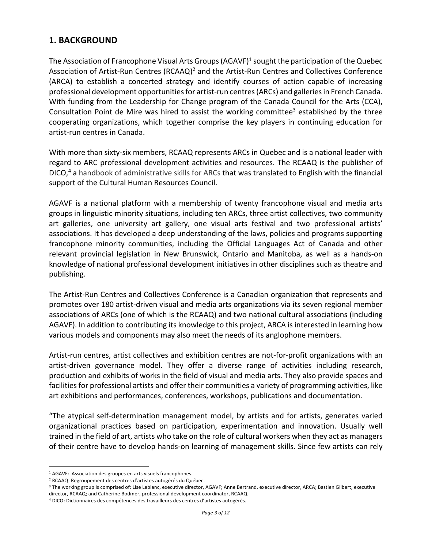# **1. BACKGROUND**

The Association of Francophone Visual Arts Groups (AGAVF)<sup>1</sup> sought the participation of the Quebec Association of Artist-Run Centres (RCAAQ)<sup>2</sup> and the Artist-Run Centres and Collectives Conference (ARCA) to establish a concerted strategy and identify courses of action capable of increasing professional development opportunities for artist-run centres(ARCs) and galleries in French Canada. With funding from the Leadership for Change program of the Canada Council for the Arts (CCA), Consultation Point de Mire was hired to assist the working committee<sup>3</sup> established by the three cooperating organizations, which together comprise the key players in continuing education for artist-run centres in Canada.

With more than sixty-six members, RCAAQ represents ARCs in Quebec and is a national leader with regard to ARC professional development activities and resources. The RCAAQ is the publisher of DICO,<sup>4</sup> a handbook of administrative skills for ARCs that was translated to English with the financial support of the Cultural Human Resources Council.

AGAVF is a national platform with a membership of twenty francophone visual and media arts groups in linguistic minority situations, including ten ARCs, three artist collectives, two community art galleries, one university art gallery, one visual arts festival and two professional artists' associations. It has developed a deep understanding of the laws, policies and programs supporting francophone minority communities, including the Official Languages Act of Canada and other relevant provincial legislation in New Brunswick, Ontario and Manitoba, as well as a hands-on knowledge of national professional development initiatives in other disciplines such as theatre and publishing.

The Artist-Run Centres and Collectives Conference is a Canadian organization that represents and promotes over 180 artist-driven visual and media arts organizations via its seven regional member associations of ARCs (one of which is the RCAAQ) and two national cultural associations (including AGAVF). In addition to contributing its knowledge to this project, ARCA is interested in learning how various models and components may also meet the needs of its anglophone members.

Artist-run centres, artist collectives and exhibition centres are not-for-profit organizations with an artist-driven governance model. They offer a diverse range of activities including research, production and exhibits of works in the field of visual and media arts. They also provide spaces and facilities for professional artists and offer their communities a variety of programming activities, like art exhibitions and performances, conferences, workshops, publications and documentation.

"The atypical self-determination management model, by artists and for artists, generates varied organizational practices based on participation, experimentation and innovation. Usually well trained in the field of art, artists who take on the role of cultural workers when they act as managers of their centre have to develop hands-on learning of management skills. Since few artists can rely

<sup>&</sup>lt;sup>1</sup> AGAVF: Association des groupes en arts visuels francophones.

<sup>2</sup> RCAAQ: Regroupement des centres d'artistes autogérés du Québec.

<sup>&</sup>lt;sup>3</sup> The working group is comprised of: Lise Leblanc, executive director, AGAVF; Anne Bertrand, executive director, ARCA; Bastien Gilbert, executive director, RCAAQ; and Catherine Bodmer, professional development coordinator, RCAAQ.

<sup>4</sup> DICO: Dictionnaires des compétences des travailleurs des centres d'artistes autogérés.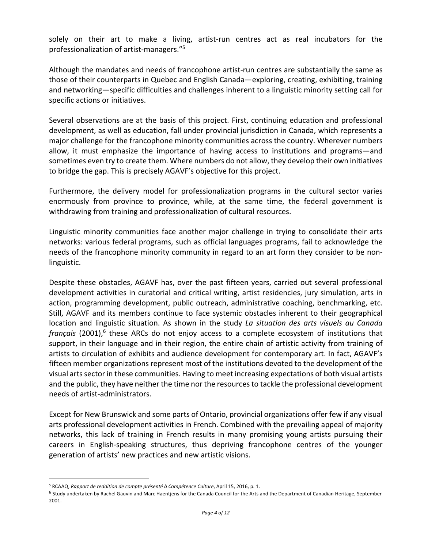solely on their art to make a living, artist-run centres act as real incubators for the professionalization of artist-managers."5

Although the mandates and needs of francophone artist-run centres are substantially the same as those of their counterparts in Quebec and English Canada—exploring, creating, exhibiting, training and networking—specific difficulties and challenges inherent to a linguistic minority setting call for specific actions or initiatives.

Several observations are at the basis of this project. First, continuing education and professional development, as well as education, fall under provincial jurisdiction in Canada, which represents a major challenge for the francophone minority communities across the country. Wherever numbers allow, it must emphasize the importance of having access to institutions and programs—and sometimes even try to create them. Where numbers do not allow, they develop their own initiatives to bridge the gap. This is precisely AGAVF's objective for this project.

Furthermore, the delivery model for professionalization programs in the cultural sector varies enormously from province to province, while, at the same time, the federal government is withdrawing from training and professionalization of cultural resources.

Linguistic minority communities face another major challenge in trying to consolidate their arts networks: various federal programs, such as official languages programs, fail to acknowledge the needs of the francophone minority community in regard to an art form they consider to be nonlinguistic.

Despite these obstacles, AGAVF has, over the past fifteen years, carried out several professional development activities in curatorial and critical writing, artist residencies, jury simulation, arts in action, programming development, public outreach, administrative coaching, benchmarking, etc. Still, AGAVF and its members continue to face systemic obstacles inherent to their geographical location and linguistic situation. As shown in the study *La situation des arts visuels au Canada français* (2001), <sup>6</sup> these ARCs do not enjoy access to a complete ecosystem of institutions that support, in their language and in their region, the entire chain of artistic activity from training of artists to circulation of exhibits and audience development for contemporary art. In fact, AGAVF's fifteen member organizations represent most of the institutions devoted to the development of the visual arts sector in these communities. Having to meet increasing expectations of both visual artists and the public, they have neither the time nor the resources to tackle the professional development needs of artist-administrators.

Except for New Brunswick and some parts of Ontario, provincial organizations offer few if any visual arts professional development activities in French. Combined with the prevailing appeal of majority networks, this lack of training in French results in many promising young artists pursuing their careers in English-speaking structures, thus depriving francophone centres of the younger generation of artists' new practices and new artistic visions.

<sup>5</sup> RCAAQ, *Rapport de reddition de compte présenté à Compétence Culture*, April 15, 2016, p. 1.

<sup>&</sup>lt;sup>6</sup> Study undertaken by Rachel Gauvin and Marc Haentjens for the Canada Council for the Arts and the Department of Canadian Heritage, September 2001.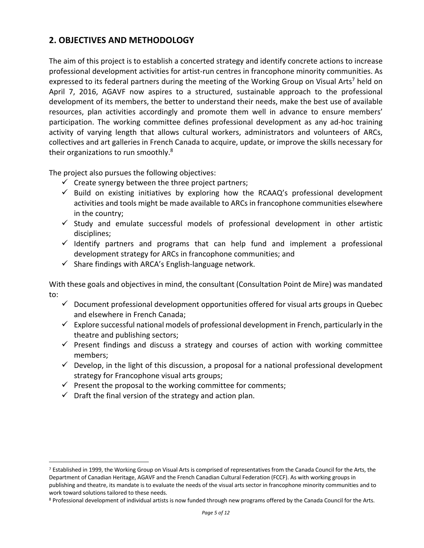# **2. OBJECTIVES AND METHODOLOGY**

The aim of this project is to establish a concerted strategy and identify concrete actions to increase professional development activities for artist-run centres in francophone minority communities. As expressed to its federal partners during the meeting of the Working Group on Visual Arts<sup>7</sup> held on April 7, 2016, AGAVF now aspires to a structured, sustainable approach to the professional development of its members, the better to understand their needs, make the best use of available resources, plan activities accordingly and promote them well in advance to ensure members' participation. The working committee defines professional development as any ad-hoc training activity of varying length that allows cultural workers, administrators and volunteers of ARCs, collectives and art galleries in French Canada to acquire, update, or improve the skills necessary for their organizations to run smoothly.<sup>8</sup>

The project also pursues the following objectives:

- $\checkmark$  Create synergy between the three project partners;
- $\checkmark$  Build on existing initiatives by exploring how the RCAAQ's professional development activities and tools might be made available to ARCs in francophone communities elsewhere in the country;
- $\checkmark$  Study and emulate successful models of professional development in other artistic disciplines;
- $\checkmark$  Identify partners and programs that can help fund and implement a professional development strategy for ARCs in francophone communities; and
- $\checkmark$  Share findings with ARCA's English-language network.

With these goals and objectives in mind, the consultant (Consultation Point de Mire) was mandated to:

- $\checkmark$  Document professional development opportunities offered for visual arts groups in Quebec and elsewhere in French Canada;
- $\checkmark$  Explore successful national models of professional development in French, particularly in the theatre and publishing sectors;
- $\checkmark$  Present findings and discuss a strategy and courses of action with working committee members;
- $\checkmark$  Develop, in the light of this discussion, a proposal for a national professional development strategy for Francophone visual arts groups;
- $\checkmark$  Present the proposal to the working committee for comments;
- $\checkmark$  Draft the final version of the strategy and action plan.

<sup>7</sup> Established in 1999, the Working Group on Visual Arts is comprised of representatives from the Canada Council for the Arts, the Department of Canadian Heritage, AGAVF and the French Canadian Cultural Federation (FCCF). As with working groups in publishing and theatre, its mandate is to evaluate the needs of the visual arts sector in francophone minority communities and to work toward solutions tailored to these needs.

<sup>8</sup> Professional development of individual artists is now funded through new programs offered by the Canada Council for the Arts.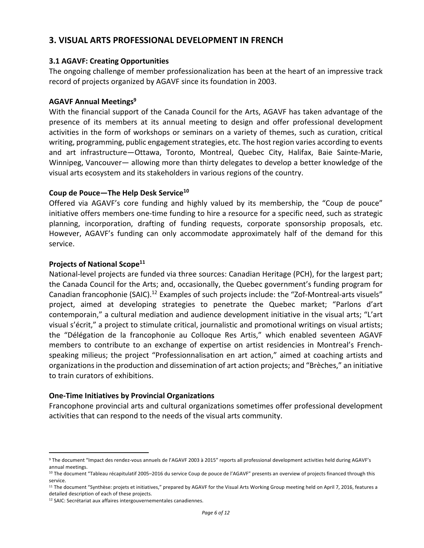# **3. VISUAL ARTS PROFESSIONAL DEVELOPMENT IN FRENCH**

#### **3.1 AGAVF: Creating Opportunities**

The ongoing challenge of member professionalization has been at the heart of an impressive track record of projects organized by AGAVF since its foundation in 2003.

#### **AGAVF Annual Meetings9**

With the financial support of the Canada Council for the Arts, AGAVF has taken advantage of the presence of its members at its annual meeting to design and offer professional development activities in the form of workshops or seminars on a variety of themes, such as curation, critical writing, programming, public engagement strategies, etc. The host region varies according to events and art infrastructure—Ottawa, Toronto, Montreal, Quebec City, Halifax, Baie Sainte-Marie, Winnipeg, Vancouver— allowing more than thirty delegates to develop a better knowledge of the visual arts ecosystem and its stakeholders in various regions of the country.

#### **Coup de Pouce—The Help Desk Service10**

Offered via AGAVF's core funding and highly valued by its membership, the "Coup de pouce" initiative offers members one-time funding to hire a resource for a specific need, such as strategic planning, incorporation, drafting of funding requests, corporate sponsorship proposals, etc. However, AGAVF's funding can only accommodate approximately half of the demand for this service.

#### **Projects of National Scope11**

National-level projects are funded via three sources: Canadian Heritage (PCH), for the largest part; the Canada Council for the Arts; and, occasionally, the Quebec government's funding program for Canadian francophonie (SAIC).<sup>12</sup> Examples of such projects include: the "Zof-Montreal-arts visuels" project, aimed at developing strategies to penetrate the Quebec market; "Parlons d'art contemporain," a cultural mediation and audience development initiative in the visual arts; "L'art visual s'écrit," a project to stimulate critical, journalistic and promotional writings on visual artists; the "Délégation de la francophonie au Colloque Res Artis," which enabled seventeen AGAVF members to contribute to an exchange of expertise on artist residencies in Montreal's Frenchspeaking milieus; the project "Professionnalisation en art action," aimed at coaching artists and organizations in the production and dissemination of art action projects; and "Brèches," an initiative to train curators of exhibitions.

#### **One-Time Initiatives by Provincial Organizations**

Francophone provincial arts and cultural organizations sometimes offer professional development activities that can respond to the needs of the visual arts community.

<sup>9</sup> The document "Impact des rendez-vous annuels de l'AGAVF 2003 à 2015" reports all professional development activities held during AGAVF's annual meetings.

<sup>&</sup>lt;sup>10</sup> The document "Tableau récapitulatif 2005–2016 du service Coup de pouce de l'AGAVF" presents an overview of projects financed through this service.

<sup>&</sup>lt;sup>11</sup> The document "Synthèse: projets et initiatives," prepared by AGAVF for the Visual Arts Working Group meeting held on April 7, 2016, features a detailed description of each of these projects.

<sup>12</sup> SAIC: Secrétariat aux affaires intergouvernementales canadiennes.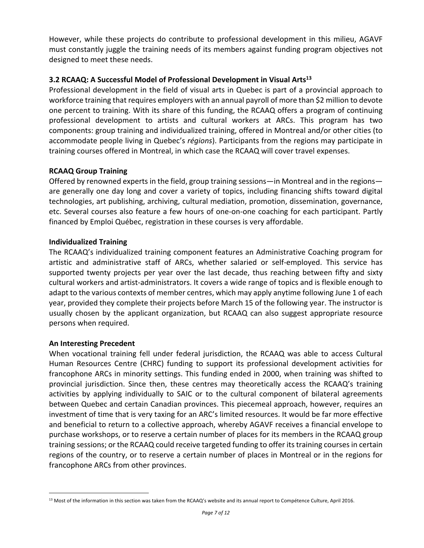However, while these projects do contribute to professional development in this milieu, AGAVF must constantly juggle the training needs of its members against funding program objectives not designed to meet these needs.

## **3.2 RCAAQ: A Successful Model of Professional Development in Visual Arts13**

Professional development in the field of visual arts in Quebec is part of a provincial approach to workforce training that requires employers with an annual payroll of more than \$2 million to devote one percent to training. With its share of this funding, the RCAAQ offers a program of continuing professional development to artists and cultural workers at ARCs. This program has two components: group training and individualized training, offered in Montreal and/or other cities (to accommodate people living in Quebec's *régions*). Participants from the regions may participate in training courses offered in Montreal, in which case the RCAAQ will cover travel expenses.

## **RCAAQ Group Training**

Offered by renowned experts in the field, group training sessions—in Montreal and in the regions are generally one day long and cover a variety of topics, including financing shifts toward digital technologies, art publishing, archiving, cultural mediation, promotion, dissemination, governance, etc. Several courses also feature a few hours of one-on-one coaching for each participant. Partly financed by Emploi Québec, registration in these courses is very affordable.

## **Individualized Training**

The RCAAQ's individualized training component features an Administrative Coaching program for artistic and administrative staff of ARCs, whether salaried or self-employed. This service has supported twenty projects per year over the last decade, thus reaching between fifty and sixty cultural workers and artist-administrators. It covers a wide range of topics and is flexible enough to adapt to the various contexts of member centres, which may apply anytime following June 1 of each year, provided they complete their projects before March 15 of the following year. The instructor is usually chosen by the applicant organization, but RCAAQ can also suggest appropriate resource persons when required.

## **An Interesting Precedent**

When vocational training fell under federal jurisdiction, the RCAAQ was able to access Cultural Human Resources Centre (CHRC) funding to support its professional development activities for francophone ARCs in minority settings. This funding ended in 2000, when training was shifted to provincial jurisdiction. Since then, these centres may theoretically access the RCAAQ's training activities by applying individually to SAIC or to the cultural component of bilateral agreements between Quebec and certain Canadian provinces. This piecemeal approach, however, requires an investment of time that is very taxing for an ARC's limited resources. It would be far more effective and beneficial to return to a collective approach, whereby AGAVF receives a financial envelope to purchase workshops, or to reserve a certain number of places for its members in the RCAAQ group training sessions; or the RCAAQ could receive targeted funding to offer its training courses in certain regions of the country, or to reserve a certain number of places in Montreal or in the regions for francophone ARCs from other provinces.

<sup>&</sup>lt;sup>13</sup> Most of the information in this section was taken from the RCAAQ's website and its annual report to Compétence Culture, April 2016.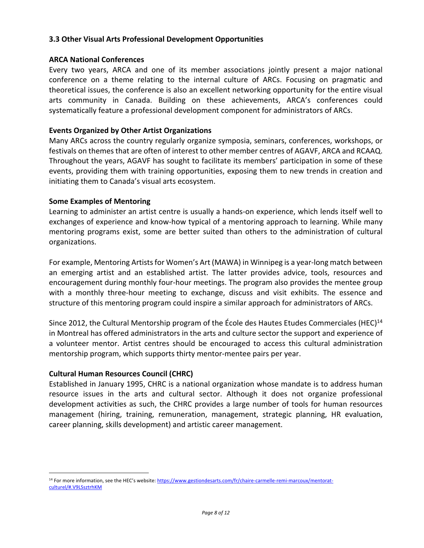#### **3.3 Other Visual Arts Professional Development Opportunities**

#### **ARCA National Conferences**

Every two years, ARCA and one of its member associations jointly present a major national conference on a theme relating to the internal culture of ARCs. Focusing on pragmatic and theoretical issues, the conference is also an excellent networking opportunity for the entire visual arts community in Canada. Building on these achievements, ARCA's conferences could systematically feature a professional development component for administrators of ARCs.

### **Events Organized by Other Artist Organizations**

Many ARCs across the country regularly organize symposia, seminars, conferences, workshops, or festivals on themes that are often of interest to other member centres of AGAVF, ARCA and RCAAQ. Throughout the years, AGAVF has sought to facilitate its members' participation in some of these events, providing them with training opportunities, exposing them to new trends in creation and initiating them to Canada's visual arts ecosystem.

#### **Some Examples of Mentoring**

Learning to administer an artist centre is usually a hands-on experience, which lends itself well to exchanges of experience and know-how typical of a mentoring approach to learning. While many mentoring programs exist, some are better suited than others to the administration of cultural organizations.

For example, Mentoring Artists for Women's Art (MAWA) in Winnipeg is a year-long match between an emerging artist and an established artist. The latter provides advice, tools, resources and encouragement during monthly four-hour meetings. The program also provides the mentee group with a monthly three-hour meeting to exchange, discuss and visit exhibits. The essence and structure of this mentoring program could inspire a similar approach for administrators of ARCs.

Since 2012, the Cultural Mentorship program of the École des Hautes Etudes Commerciales (HEC)<sup>14</sup> in Montreal has offered administrators in the arts and culture sector the support and experience of a volunteer mentor. Artist centres should be encouraged to access this cultural administration mentorship program, which supports thirty mentor-mentee pairs per year.

## **Cultural Human Resources Council (CHRC)**

Established in January 1995, CHRC is a national organization whose mandate is to address human resource issues in the arts and cultural sector. Although it does not organize professional development activities as such, the CHRC provides a large number of tools for human resources management (hiring, training, remuneration, management, strategic planning, HR evaluation, career planning, skills development) and artistic career management.

<sup>&</sup>lt;sup>14</sup> For more information, see the HEC's website: https://www.gestiondesarts.com/fr/chaire-carmelle-remi-marcoux/mentoratculturel/#.V9LSsztrhKM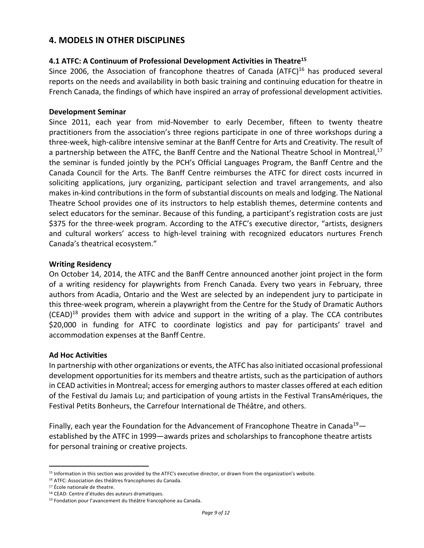# **4. MODELS IN OTHER DISCIPLINES**

#### **4.1 ATFC: A Continuum of Professional Development Activities in Theatre15**

Since 2006, the Association of francophone theatres of Canada (ATFC) $16$  has produced several reports on the needs and availability in both basic training and continuing education for theatre in French Canada, the findings of which have inspired an array of professional development activities.

#### **Development Seminar**

Since 2011, each year from mid-November to early December, fifteen to twenty theatre practitioners from the association's three regions participate in one of three workshops during a three-week, high-calibre intensive seminar at the Banff Centre for Arts and Creativity. The result of a partnership between the ATFC, the Banff Centre and the National Theatre School in Montreal,<sup>17</sup> the seminar is funded jointly by the PCH's Official Languages Program, the Banff Centre and the Canada Council for the Arts. The Banff Centre reimburses the ATFC for direct costs incurred in soliciting applications, jury organizing, participant selection and travel arrangements, and also makes in-kind contributions in the form of substantial discounts on meals and lodging. The National Theatre School provides one of its instructors to help establish themes, determine contents and select educators for the seminar. Because of this funding, a participant's registration costs are just \$375 for the three-week program. According to the ATFC's executive director, "artists, designers and cultural workers' access to high-level training with recognized educators nurtures French Canada's theatrical ecosystem."

#### **Writing Residency**

On October 14, 2014, the ATFC and the Banff Centre announced another joint project in the form of a writing residency for playwrights from French Canada. Every two years in February, three authors from Acadia, Ontario and the West are selected by an independent jury to participate in this three-week program, wherein a playwright from the Centre for the Study of Dramatic Authors  $(CEAD)^{18}$  provides them with advice and support in the writing of a play. The CCA contributes \$20,000 in funding for ATFC to coordinate logistics and pay for participants' travel and accommodation expenses at the Banff Centre.

#### **Ad Hoc Activities**

In partnership with other organizations or events, the ATFC has also initiated occasional professional development opportunities for its members and theatre artists, such as the participation of authors in CEAD activities in Montreal; access for emerging authors to master classes offered at each edition of the Festival du Jamais Lu; and participation of young artists in the Festival TransAmériques, the Festival Petits Bonheurs, the Carrefour International de Théâtre, and others.

Finally, each year the Foundation for the Advancement of Francophone Theatre in Canada<sup>19</sup> $$ established by the ATFC in 1999—awards prizes and scholarships to francophone theatre artists for personal training or creative projects.

<sup>15</sup> Information in this section was provided by the ATFC's executive director, or drawn from the organization's website.

<sup>16</sup> ATFC: Association des théâtres francophones du Canada.

<sup>&</sup>lt;sup>17</sup> École nationale de theatre.

<sup>18</sup> CEAD: Centre d'études des auteurs dramatiques.

<sup>19</sup> Fondation pour l'avancement du théâtre francophone au Canada.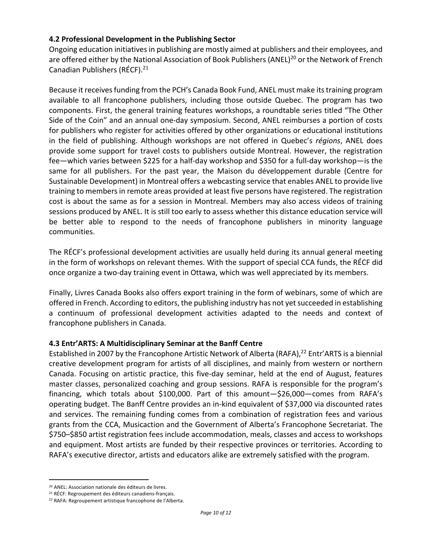### **4.2 Professional Development in the Publishing Sector**

Ongoing education initiatives in publishing are mostly aimed at publishers and their employees, and are offered either by the National Association of Book Publishers (ANEL)<sup>20</sup> or the Network of French Canadian Publishers (RÉCF). 21

Because it receives funding from the PCH's Canada Book Fund, ANEL must make its training program available to all francophone publishers, including those outside Quebec. The program has two components. First, the general training features workshops, a roundtable series titled "The Other Side of the Coin" and an annual one-day symposium. Second, ANEL reimburses a portion of costs for publishers who register for activities offered by other organizations or educational institutions in the field of publishing. Although workshops are not offered in Quebec's *régions*, ANEL does provide some support for travel costs to publishers outside Montreal. However, the registration fee—which varies between \$225 for a half-day workshop and \$350 for a full-day workshop—is the same for all publishers. For the past year, the Maison du développement durable (Centre for Sustainable Development) in Montreal offers a webcasting service that enables ANEL to provide live training to members in remote areas provided at least five persons have registered. The registration cost is about the same as for a session in Montreal. Members may also access videos of training sessions produced by ANEL. It is still too early to assess whether this distance education service will be better able to respond to the needs of francophone publishers in minority language communities.

The RÉCF's professional development activities are usually held during its annual general meeting in the form of workshops on relevant themes. With the support of special CCA funds, the RÉCF did once organize a two-day training event in Ottawa, which was well appreciated by its members.

Finally, Livres Canada Books also offers export training in the form of webinars, some of which are offered in French. According to editors, the publishing industry has not yet succeeded in establishing a continuum of professional development activities adapted to the needs and context of francophone publishers in Canada.

#### **4.3 Entr'ARTS: A Multidisciplinary Seminar at the Banff Centre**

Established in 2007 by the Francophone Artistic Network of Alberta (RAFA),<sup>22</sup> Entr'ARTS is a biennial creative development program for artists of all disciplines, and mainly from western or northern Canada. Focusing on artistic practice, this five-day seminar, held at the end of August, features master classes, personalized coaching and group sessions. RAFA is responsible for the program's financing, which totals about \$100,000. Part of this amount—\$26,000—comes from RAFA's operating budget. The Banff Centre provides an in-kind equivalent of \$37,000 via discounted rates and services. The remaining funding comes from a combination of registration fees and various grants from the CCA, Musicaction and the Government of Alberta's Francophone Secretariat. The \$750–\$850 artist registration fees include accommodation, meals, classes and access to workshops and equipment. Most artists are funded by their respective provinces or territories. According to RAFA's executive director, artists and educators alike are extremely satisfied with the program.

<sup>20</sup> ANEL: Association nationale des éditeurs de livres.

<sup>&</sup>lt;sup>21</sup> RÉCF: Regroupement des éditeurs canadiens-français.

<sup>22</sup> RAFA: Regroupement artistique francophone de l'Alberta.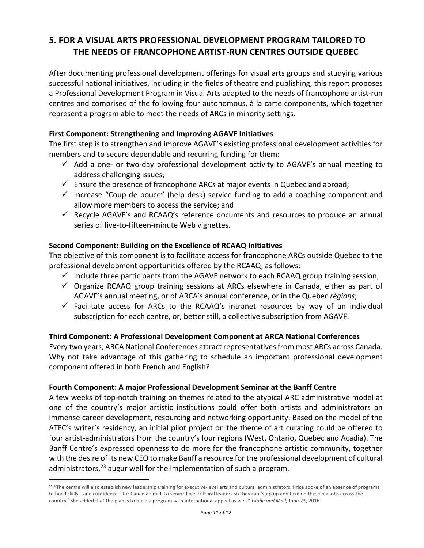# **5. FOR A VISUAL ARTS PROFESSIONAL DEVELOPMENT PROGRAM TAILORED TO THE NEEDS OF FRANCOPHONE ARTIST-RUN CENTRES OUTSIDE QUEBEC**

After documenting professional development offerings for visual arts groups and studying various successful national initiatives, including in the fields of theatre and publishing, this report proposes a Professional Development Program in Visual Arts adapted to the needs of francophone artist-run centres and comprised of the following four autonomous, à la carte components, which together represent a program able to meet the needs of ARCs in minority settings.

### **First Component: Strengthening and Improving AGAVF Initiatives**

The first step is to strengthen and improve AGAVF's existing professional development activities for members and to secure dependable and recurring funding for them:

- $\checkmark$  Add a one- or two-day professional development activity to AGAVF's annual meeting to address challenging issues;
- $\checkmark$  Ensure the presence of francophone ARCs at major events in Quebec and abroad;
- $\checkmark$  Increase "Coup de pouce" (help desk) service funding to add a coaching component and allow more members to access the service; and
- $\checkmark$  Recycle AGAVF's and RCAAQ's reference documents and resources to produce an annual series of five-to-fifteen-minute Web vignettes.

## **Second Component: Building on the Excellence of RCAAQ Initiatives**

The objective of this component is to facilitate access for francophone ARCs outside Quebec to the professional development opportunities offered by the RCAAQ, as follows:

- $\checkmark$  Include three participants from the AGAVF network to each RCAAQ group training session;
- $\checkmark$  Organize RCAAQ group training sessions at ARCs elsewhere in Canada, either as part of AGAVF's annual meeting, or of ARCA's annual conference, or in the Quebec *régions*;
- $\checkmark$  Facilitate access for ARCs to the RCAAQ's intranet resources by way of an individual subscription for each centre, or, better still, a collective subscription from AGAVF.

## **Third Component: A Professional Development Component at ARCA National Conferences**

Every two years, ARCA National Conferences attract representatives from most ARCs across Canada. Why not take advantage of this gathering to schedule an important professional development component offered in both French and English?

## **Fourth Component: A major Professional Development Seminar at the Banff Centre**

A few weeks of top-notch training on themes related to the atypical ARC administrative model at one of the country's major artistic institutions could offer both artists and administrators an immense career development, resourcing and networking opportunity. Based on the model of the ATFC's writer's residency, an initial pilot project on the theme of art curating could be offered to four artist-administrators from the country's four regions (West, Ontario, Quebec and Acadia). The Banff Centre's expressed openness to do more for the francophone artistic community, together with the desire of its new CEO to make Banff a resource for the professional development of cultural administrators, $^{23}$  augur well for the implementation of such a program.

<sup>&</sup>lt;sup>23</sup> "The centre will also establish new leadership training for executive-level arts and cultural administrators. Price spoke of an absence of programs to build skills—and confidence—for Canadian mid- to senior-level cultural leaders so they can 'step up and take on these big jobs across the country.' She added that the plan is to build a program with international appeal as well." *Globe and Mail*, June 23, 2016.